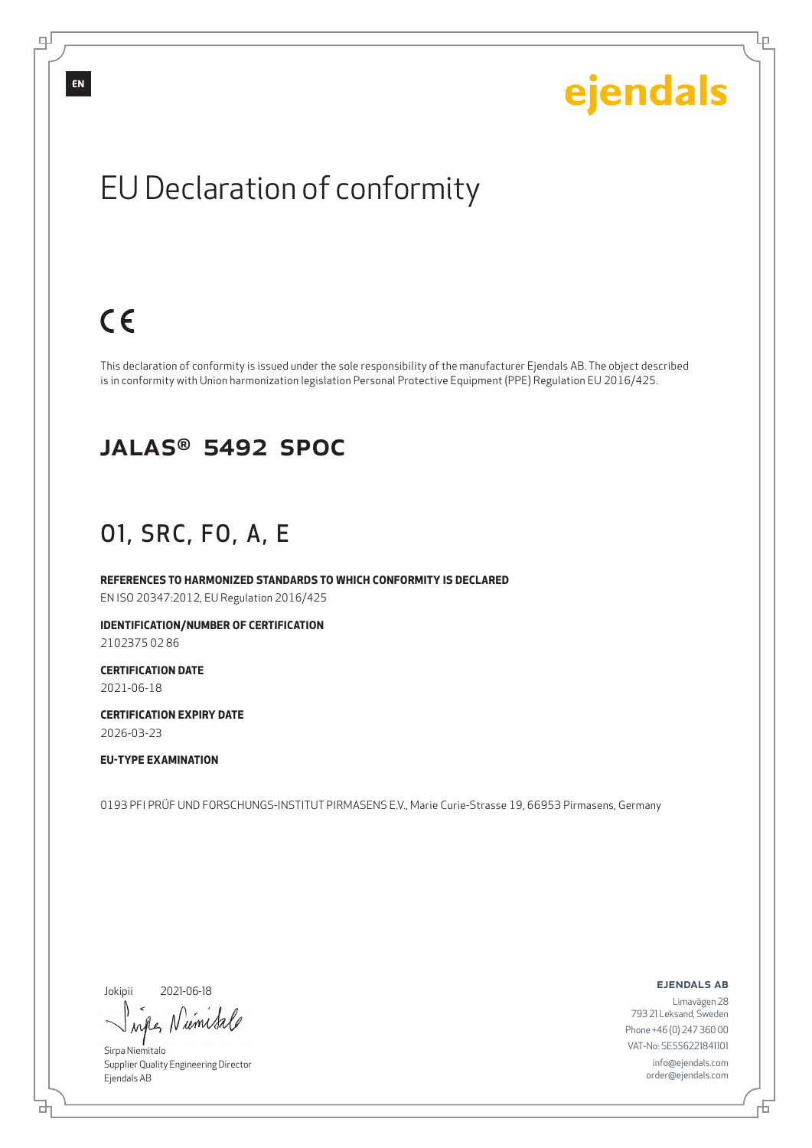Ļμ

## EU Declaration of conformity

## $C<sub>6</sub>$

This declaration of conformity is issued under the sole responsibility of the manufacturer Ejendals AB. The object described is in conformity with Union harmonization legislation Personal Protective Equipment (PPE) Regulation EU 2016/425.

#### JALAS® 5492 SPOC

### O1, SRC, FO, A, E

**REFERENCES TO HARMONIZED STANDARDS TO WHICH CONFORMITY IS DECLARED** EN ISO 20347:2012, EU Regulation 2016/425

**IDENTIFICATION/NUMBER OF CERTIFICATION**

2102375 02 86

**CERTIFICATION DATE** 2021-06-18

**CERTIFICATION EXPIRY DATE** 2026-03-23

#### **EU-TYPE EXAMINATION**

0193 PFI PRÜF UND FORSCHUNGS-INSTITUT PIRMASENS E.V., Marie Curie-Strasse 19, 66953 Pirmasens, Germany

Jokipii

브

2021-06-18

wifes Niemisa

Sirpa Niemitalo Supplier Quality Engineering Director Ejendals AB

ejendals ab

Limavägen 28 793 21 Leksand, Sweden Phone +46 (0) 247 360 00 VAT-No: SE556221841101 info@ejendals.com order@ejendals.com

Đ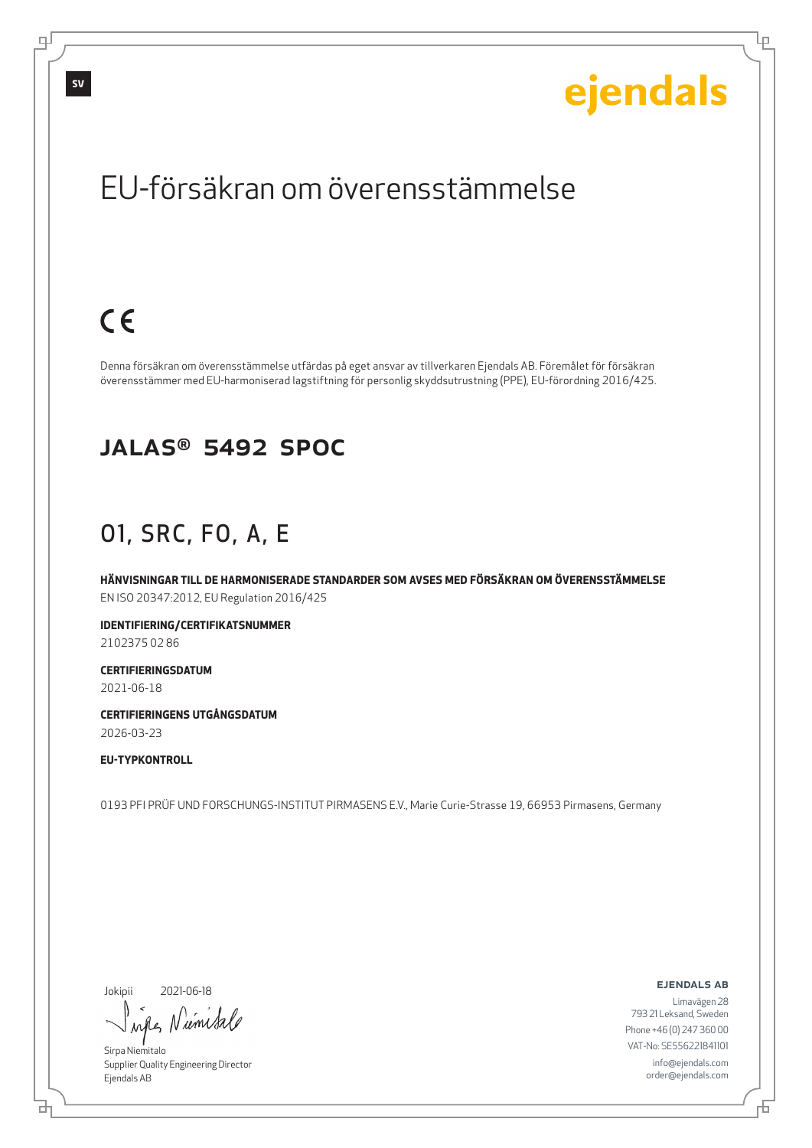Lр

## EU-försäkran om överensstämmelse

## $C \in$

Denna försäkran om överensstämmelse utfärdas på eget ansvar av tillverkaren Ejendals AB. Föremålet för försäkran överensstämmer med EU-harmoniserad lagstiftning för personlig skyddsutrustning (PPE), EU-förordning 2016/425.

#### JALAS® 5492 SPOC

### O1, SRC, FO, A, E

**HÄNVISNINGAR TILL DE HARMONISERADE STANDARDER SOM AVSES MED FÖRSÄKRAN OM ÖVERENSSTÄMMELSE** EN ISO 20347:2012, EU Regulation 2016/425

**IDENTIFIERING/CERTIFIKATSNUMMER** 2102375 02 86

**CERTIFIERINGSDATUM**

2021-06-18

**CERTIFIERINGENS UTGÅNGSDATUM** 2026-03-23

#### **EU-TYPKONTROLL**

0193 PFI PRÜF UND FORSCHUNGS-INSTITUT PIRMASENS E.V., Marie Curie-Strasse 19, 66953 Pirmasens, Germany

Jokipii

브

2021-06-18

wife Numita

Sirpa Niemitalo Supplier Quality Engineering Director Ejendals AB

ejendals ab

Đ

Limavägen 28 793 21 Leksand, Sweden Phone +46 (0) 247 360 00 VAT-No: SE556221841101 info@ejendals.com order@ejendals.com

டி

**SV**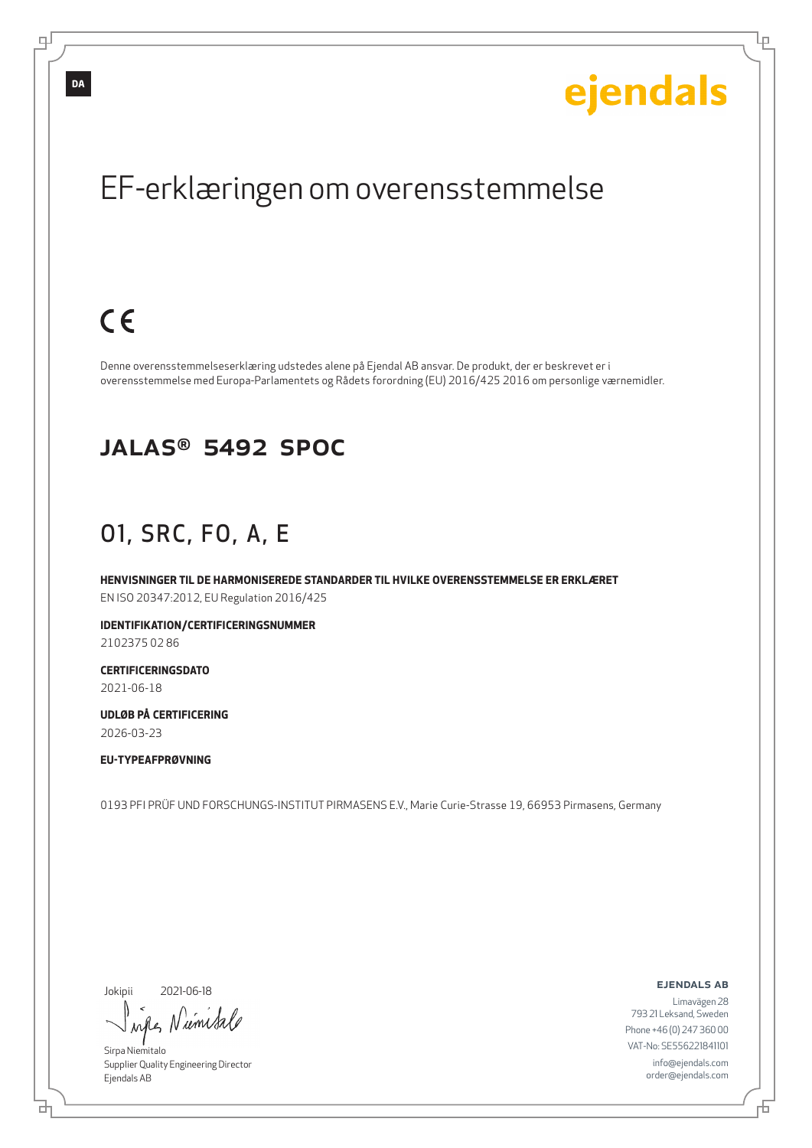**DA**

# ejendals

Lр

## EF-erklæringen om overensstemmelse

## $C<sub>6</sub>$

Denne overensstemmelseserklæring udstedes alene på Ejendal AB ansvar. De produkt, der er beskrevet er i overensstemmelse med Europa-Parlamentets og Rådets forordning (EU) 2016/425 2016 om personlige værnemidler.

#### JALAS® 5492 SPOC

### O1, SRC, FO, A, E

**HENVISNINGER TIL DE HARMONISEREDE STANDARDER TIL HVILKE OVERENSSTEMMELSE ER ERKLÆRET** EN ISO 20347:2012, EU Regulation 2016/425

**IDENTIFIKATION/CERTIFICERINGSNUMMER**

2102375 02 86

**CERTIFICERINGSDATO** 2021-06-18

**UDLØB PÅ CERTIFICERING** 2026-03-23

**EU-TYPEAFPRØVNING**

0193 PFI PRÜF UND FORSCHUNGS-INSTITUT PIRMASENS E.V., Marie Curie-Strasse 19, 66953 Pirmasens, Germany

Jokipii

브

2021-06-18

wife Numita

Sirpa Niemitalo Supplier Quality Engineering Director Ejendals AB

ejendals ab

Đ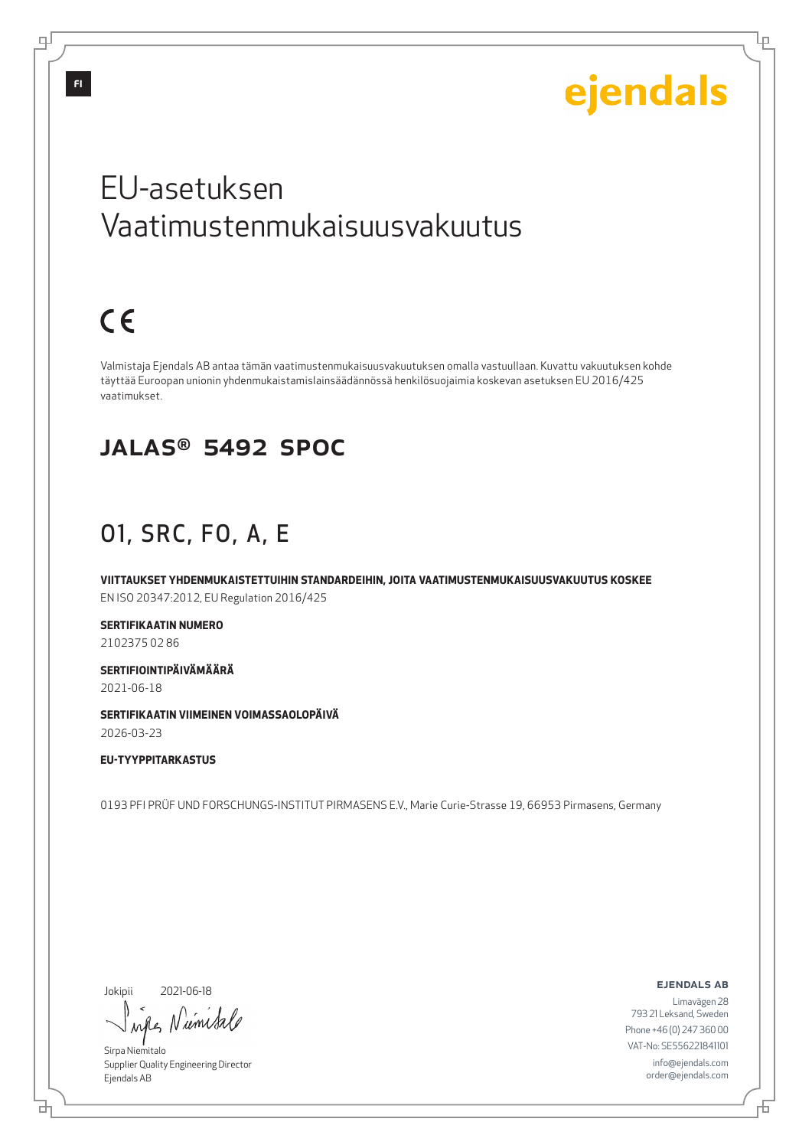Lμ

## EU-asetuksen Vaatimustenmukaisuusvakuutus

## $C \in$

Valmistaja Ejendals AB antaa tämän vaatimustenmukaisuusvakuutuksen omalla vastuullaan. Kuvattu vakuutuksen kohde täyttää Euroopan unionin yhdenmukaistamislainsäädännössä henkilösuojaimia koskevan asetuksen EU 2016/425 vaatimukset.

#### JALAS® 5492 SPOC

### O1, SRC, FO, A, E

**VIITTAUKSET YHDENMUKAISTETTUIHIN STANDARDEIHIN, JOITA VAATIMUSTENMUKAISUUSVAKUUTUS KOSKEE** EN ISO 20347:2012, EU Regulation 2016/425

**SERTIFIKAATIN NUMERO** 2102375 02 86

**SERTIFIOINTIPÄIVÄMÄÄRÄ** 2021-06-18

**SERTIFIKAATIN VIIMEINEN VOIMASSAOLOPÄIVÄ** 2026-03-23

**EU-TYYPPITARKASTUS**

0193 PFI PRÜF UND FORSCHUNGS-INSTITUT PIRMASENS E.V., Marie Curie-Strasse 19, 66953 Pirmasens, Germany

Jokipii

2021-06-18

wife Numital

Sirpa Niemitalo Supplier Quality Engineering Director Ejendals AB

ejendals ab

6

Limavägen 28 793 21 Leksand, Sweden Phone +46 (0) 247 360 00 VAT-No: SE556221841101 info@ejendals.com order@ejendals.com

டி

**FI**

브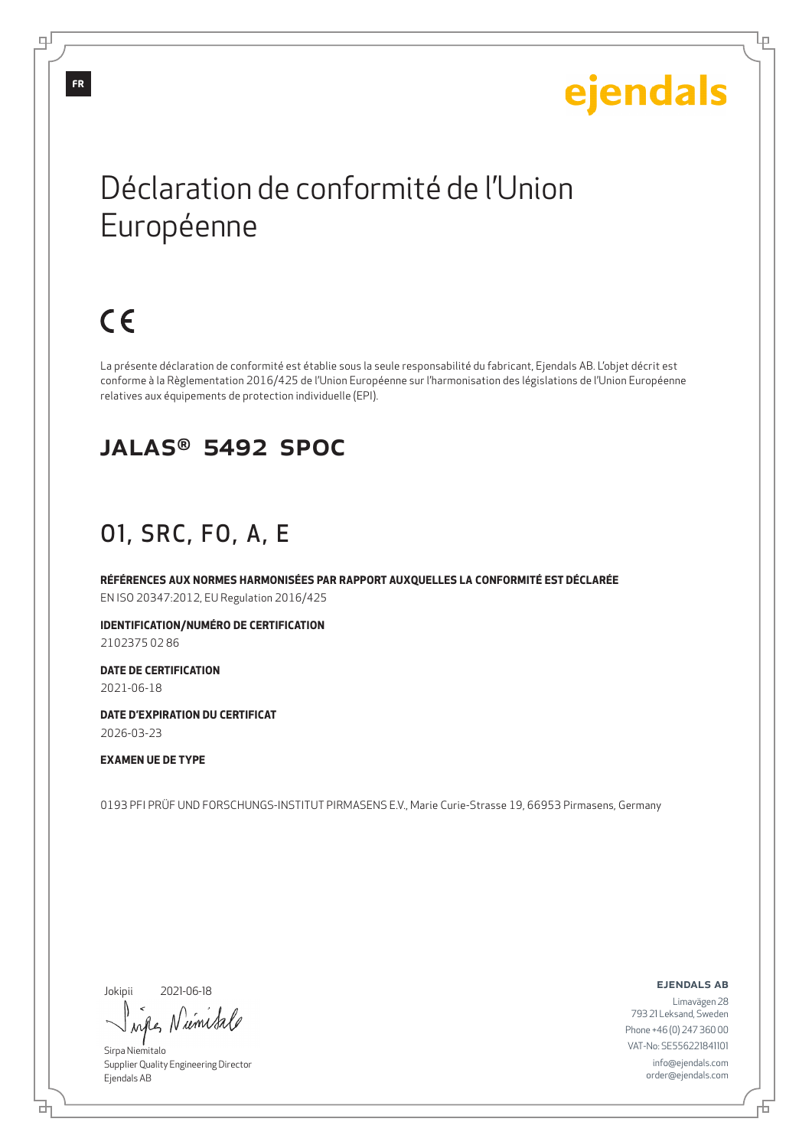Lр

## Déclaration de conformité de l'Union Européenne

## $C \in$

La présente déclaration de conformité est établie sous la seule responsabilité du fabricant, Ejendals AB. L'objet décrit est conforme à la Règlementation 2016/425 de l'Union Européenne sur l'harmonisation des législations de l'Union Européenne relatives aux équipements de protection individuelle (EPI).

#### JALAS® 5492 SPOC

### O1, SRC, FO, A, E

**RÉFÉRENCES AUX NORMES HARMONISÉES PAR RAPPORT AUXQUELLES LA CONFORMITÉ EST DÉCLARÉE** EN ISO 20347:2012, EU Regulation 2016/425

**IDENTIFICATION/NUMÉRO DE CERTIFICATION**

2102375 02 86

**DATE DE CERTIFICATION** 2021-06-18

**DATE D'EXPIRATION DU CERTIFICAT** 2026-03-23

#### **EXAMEN UE DE TYPE**

0193 PFI PRÜF UND FORSCHUNGS-INSTITUT PIRMASENS E.V., Marie Curie-Strasse 19, 66953 Pirmasens, Germany

Jokipii

브

2021-06-18

when Numita

Sirpa Niemitalo Supplier Quality Engineering Director Ejendals AB

ejendals ab

6

Limavägen 28 793 21 Leksand, Sweden Phone +46 (0) 247 360 00 VAT-No: SE556221841101 info@ejendals.com order@ejendals.com

**FR**

டி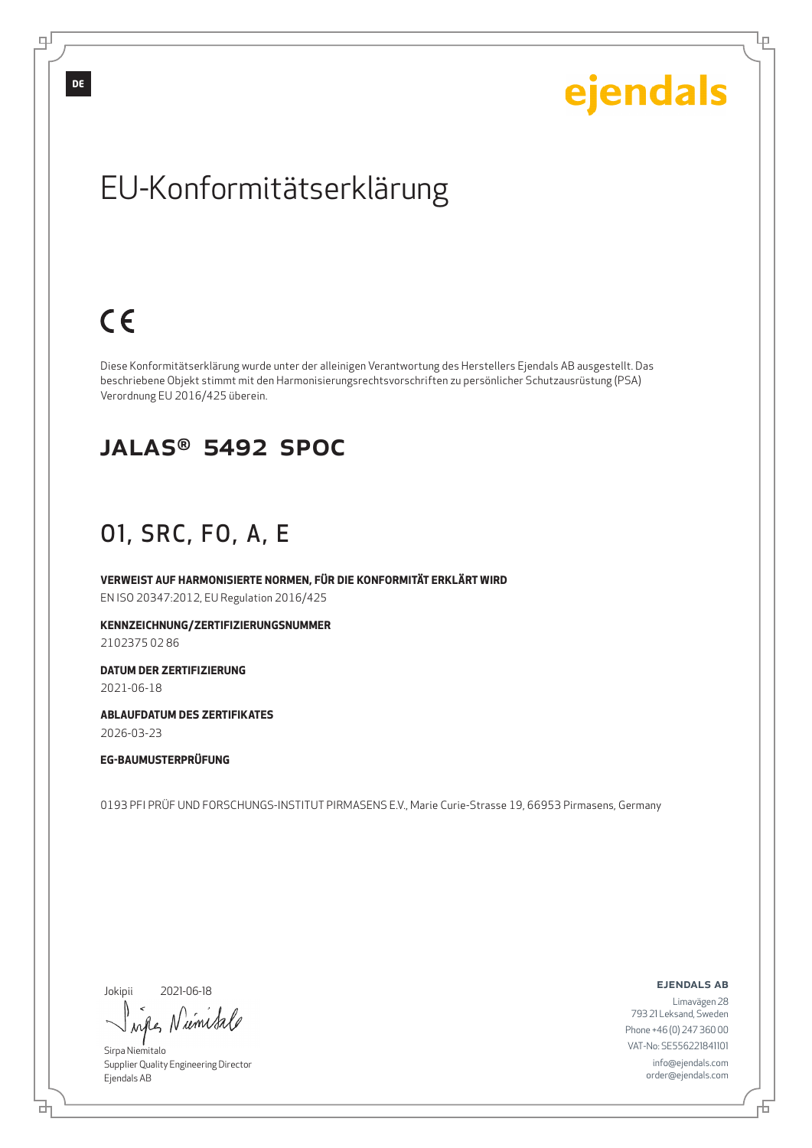Ļμ

## EU-Konformitätserklärung

## $C<sub>6</sub>$

Diese Konformitätserklärung wurde unter der alleinigen Verantwortung des Herstellers Ejendals AB ausgestellt. Das beschriebene Objekt stimmt mit den Harmonisierungsrechtsvorschriften zu persönlicher Schutzausrüstung (PSA) Verordnung EU 2016/425 überein.

#### JALAS® 5492 SPOC

### O1, SRC, FO, A, E

**VERWEIST AUF HARMONISIERTE NORMEN, FÜR DIE KONFORMITÄT ERKLÄRT WIRD** EN ISO 20347:2012, EU Regulation 2016/425

**KENNZEICHNUNG/ZERTIFIZIERUNGSNUMMER**

2102375 02 86

**DATUM DER ZERTIFIZIERUNG** 2021-06-18

**ABLAUFDATUM DES ZERTIFIKATES** 2026-03-23

**EG-BAUMUSTERPRÜFUNG**

0193 PFI PRÜF UND FORSCHUNGS-INSTITUT PIRMASENS E.V., Marie Curie-Strasse 19, 66953 Pirmasens, Germany

Jokipii

브

2021-06-18

wife Numita

Sirpa Niemitalo Supplier Quality Engineering Director Ejendals AB

ejendals ab

Đ

Limavägen 28 793 21 Leksand, Sweden Phone +46 (0) 247 360 00 VAT-No: SE556221841101 info@ejendals.com order@ejendals.com

டி

**DE**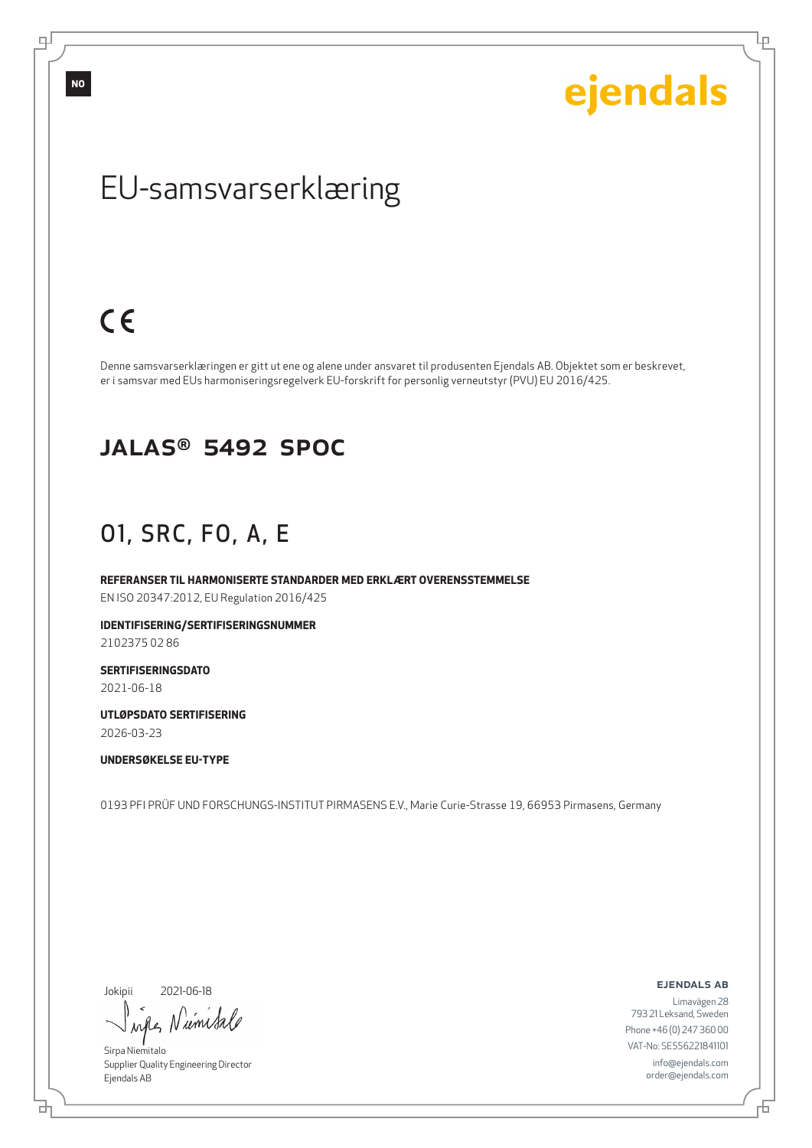ejendals

Ļμ

## EU-samsvarserklæring

## $C<sub>6</sub>$

Denne samsvarserklæringen er gitt ut ene og alene under ansvaret til produsenten Ejendals AB. Objektet som er beskrevet, er i samsvar med EUs harmoniseringsregelverk EU-forskrift for personlig verneutstyr (PVU) EU 2016/425.

#### JALAS® 5492 SPOC

### O1, SRC, FO, A, E

**REFERANSER TIL HARMONISERTE STANDARDER MED ERKLÆRT OVERENSSTEMMELSE** EN ISO 20347:2012, EU Regulation 2016/425

**IDENTIFISERING/SERTIFISERINGSNUMMER**

2102375 02 86

**SERTIFISERINGSDATO** 2021-06-18

**UTLØPSDATO SERTIFISERING**

2026-03-23

**UNDERSØKELSE EU-TYPE**

0193 PFI PRÜF UND FORSCHUNGS-INSTITUT PIRMASENS E.V., Marie Curie-Strasse 19, 66953 Pirmasens, Germany

Jokipii

브

2021-06-18

when Nimital

Sirpa Niemitalo Supplier Quality Engineering Director Ejendals AB

ejendals ab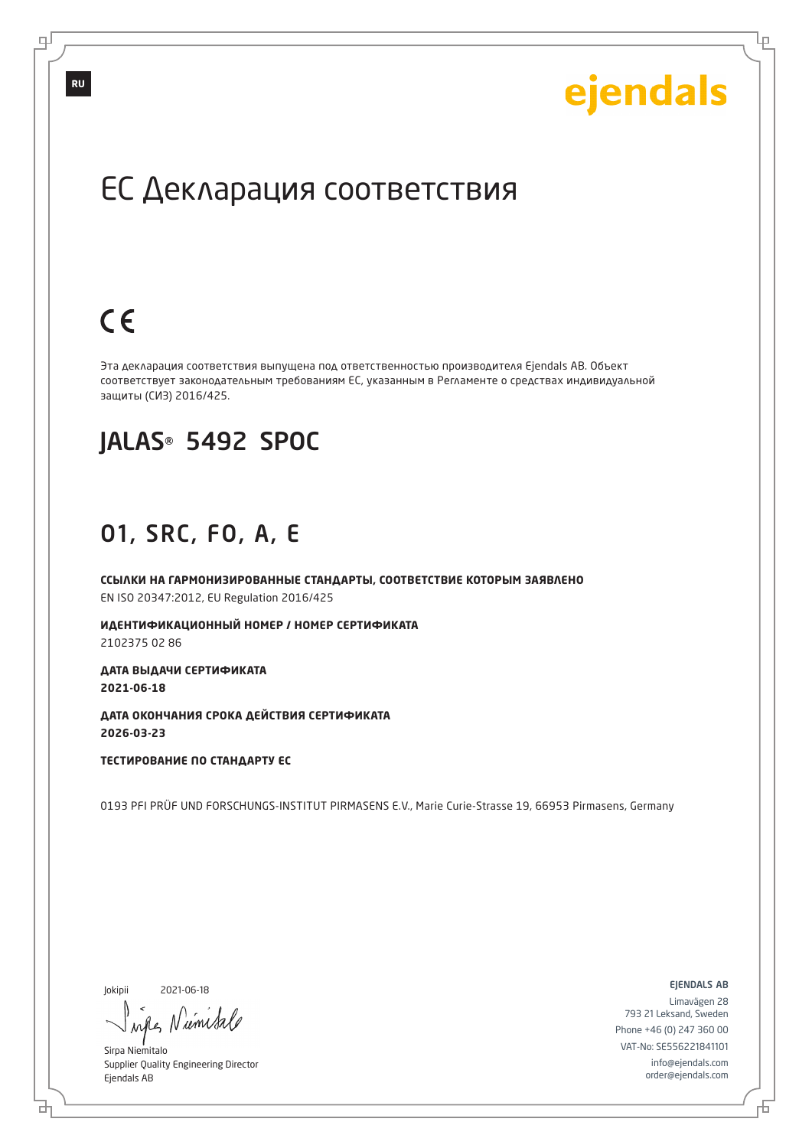Lр

## ЕС Декларация соответствия

## $C \in$

Эта декларация соответствия выпущена под ответственностью производителя Ejendals AB. Объект соответствует законодательным требованиям ЕС, указанным в Регламенте о средствах индивидуальной защиты (СИЗ) 2016/425.

#### JALAS® 5492 SPOC

#### O1, SRC, FO, A, E

**ССЫЛКИ НА ГАРМОНИЗИРОВАННЫЕ СТАНДАРТЫ, СООТВЕТСТВИЕ КОТОРЫМ ЗАЯВЛЕНО** EN ISO 20347:2012, EU Regulation 2016/425

**ИДЕНТИФИКАЦИОННЫЙ НОМЕР / НОМЕР СЕРТИФИКАТА** 2102375 02 86

**ДАТА ВЫДАЧИ СЕРТИФИКАТА 2021-06-18**

**ДАТА ОКОНЧАНИЯ СРОКА ДЕЙСТВИЯ СЕРТИФИКАТА 2026-03-23**

**ТЕСТИРОВАНИЕ ПО СТАНДАРТУ ЕС**

0193 PFI PRÜF UND FORSCHUNGS-INSTITUT PIRMASENS E.V., Marie Curie-Strasse 19, 66953 Pirmasens, Germany

Jokipii

₫

2021-06-18

when Numita

Sirpa Niemitalo Supplier Quality Engineering Director Ejendals AB

ejendals ab

舌

Limavägen 28 793 21 Leksand, Sweden Phone +46 (0) 247 360 00 VAT-No: SE556221841101 info@ejendals.com order@ejendals.com

டி

**RU**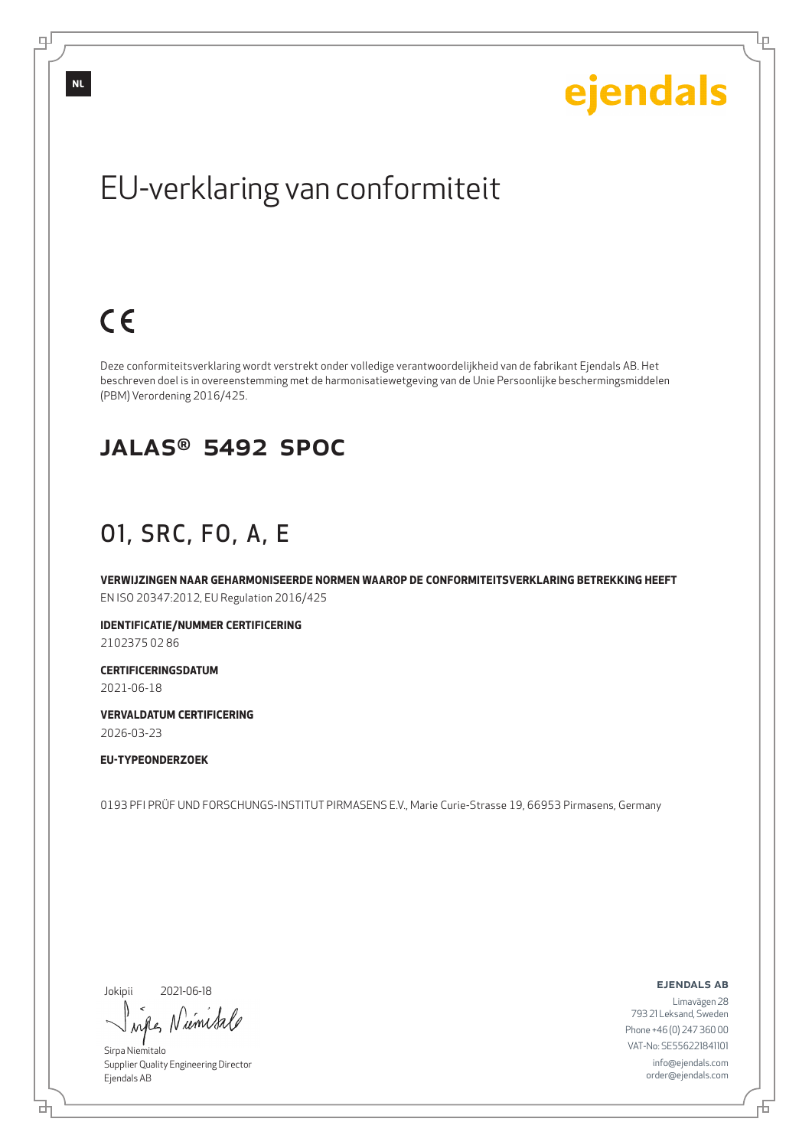Ļμ

## EU-verklaring van conformiteit

## $C \in$

Deze conformiteitsverklaring wordt verstrekt onder volledige verantwoordelijkheid van de fabrikant Ejendals AB. Het beschreven doel is in overeenstemming met de harmonisatiewetgeving van de Unie Persoonlijke beschermingsmiddelen (PBM) Verordening 2016/425.

#### JALAS® 5492 SPOC

### O1, SRC, FO, A, E

**VERWIJZINGEN NAAR GEHARMONISEERDE NORMEN WAAROP DE CONFORMITEITSVERKLARING BETREKKING HEEFT** EN ISO 20347:2012, EU Regulation 2016/425

**IDENTIFICATIE/NUMMER CERTIFICERING**

2102375 02 86

**CERTIFICERINGSDATUM** 2021-06-18

**VERVALDATUM CERTIFICERING** 2026-03-23

#### **EU-TYPEONDERZOEK**

0193 PFI PRÜF UND FORSCHUNGS-INSTITUT PIRMASENS E.V., Marie Curie-Strasse 19, 66953 Pirmasens, Germany

Jokipii

브

2021-06-18

wife Numita

Sirpa Niemitalo Supplier Quality Engineering Director Ejendals AB

ejendals ab

Đ

Limavägen 28 793 21 Leksand, Sweden Phone +46 (0) 247 360 00 VAT-No: SE556221841101 info@ejendals.com order@ejendals.com

டி

**NL**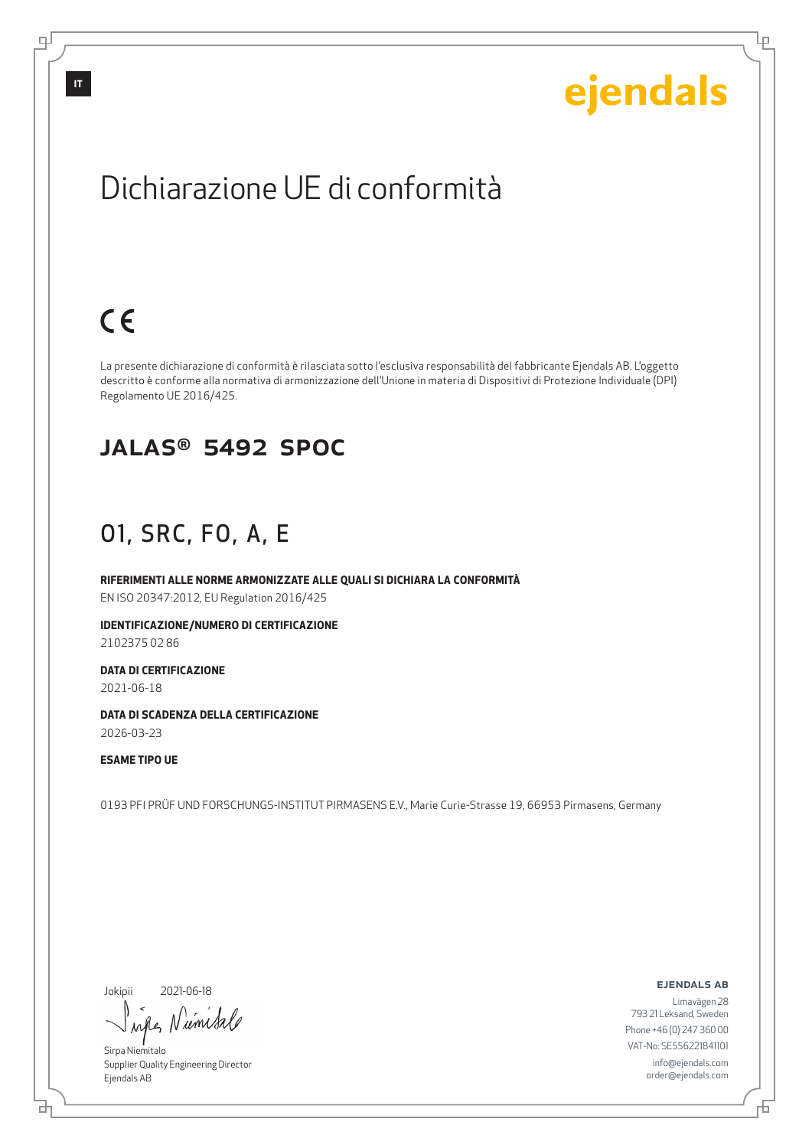Lμ

## Dichiarazione UE di conformità

## $C \in$

La presente dichiarazione di conformità è rilasciata sotto l'esclusiva responsabilità del fabbricante Ejendals AB. L'oggetto descritto è conforme alla normativa di armonizzazione dell'Unione in materia di Dispositivi di Protezione Individuale (DPI) Regolamento UE 2016/425.

#### JALAS® 5492 SPOC

### O1, SRC, FO, A, E

**RIFERIMENTI ALLE NORME ARMONIZZATE ALLE QUALI SI DICHIARA LA CONFORMITÀ** EN ISO 20347:2012, EU Regulation 2016/425

**IDENTIFICAZIONE/NUMERO DI CERTIFICAZIONE** 2102375 02 86

**DATA DI CERTIFICAZIONE**

2021-06-18

**DATA DI SCADENZA DELLA CERTIFICAZIONE** 2026-03-23

**ESAME TIPO UE**

0193 PFI PRÜF UND FORSCHUNGS-INSTITUT PIRMASENS E.V., Marie Curie-Strasse 19, 66953 Pirmasens, Germany

Jokipii

브

2021-06-18

wife Numita

Sirpa Niemitalo Supplier Quality Engineering Director Ejendals AB

ejendals ab

Đ

Limavägen 28 793 21 Leksand, Sweden Phone +46 (0) 247 360 00 VAT-No: SE556221841101 info@ejendals.com order@ejendals.com

டி

**IT**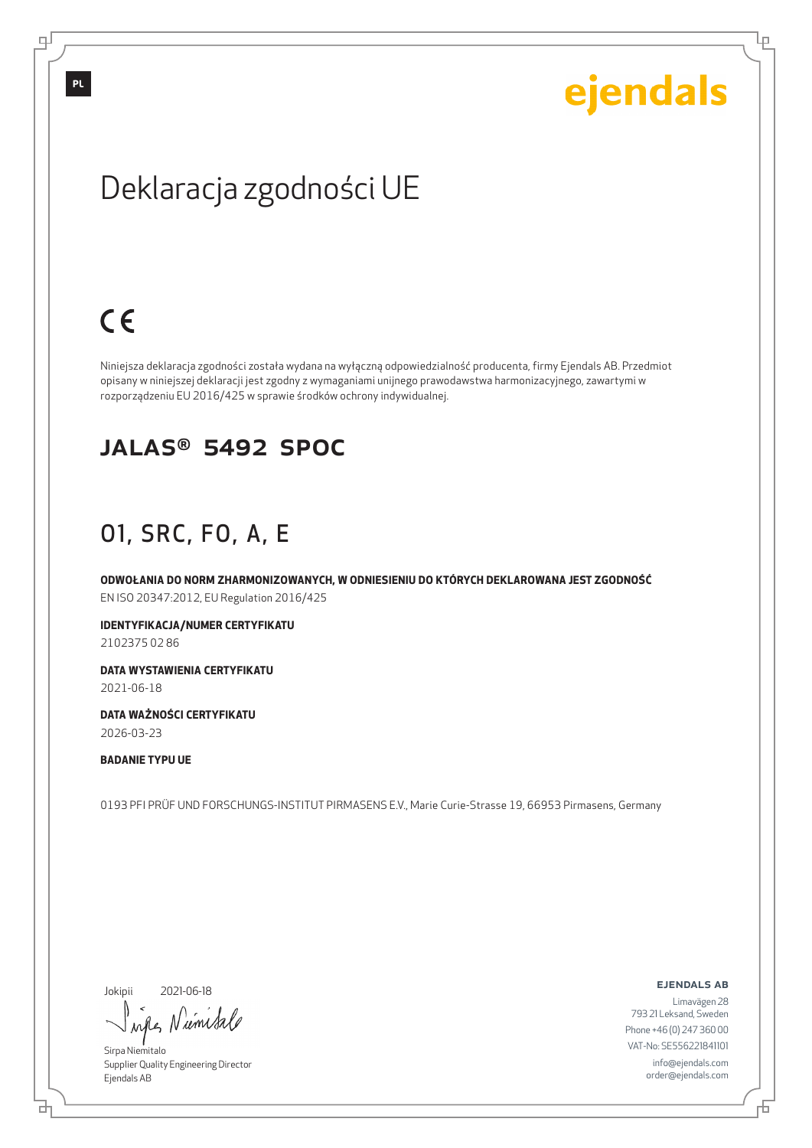Lр

## Deklaracja zgodności UE

## $C \in$

Niniejsza deklaracja zgodności została wydana na wyłączną odpowiedzialność producenta, firmy Ejendals AB. Przedmiot opisany w niniejszej deklaracji jest zgodny z wymaganiami unijnego prawodawstwa harmonizacyjnego, zawartymi w rozporządzeniu EU 2016/425 w sprawie środków ochrony indywidualnej.

#### JALAS® 5492 SPOC

### O1, SRC, FO, A, E

**ODWOŁANIA DO NORM ZHARMONIZOWANYCH, W ODNIESIENIU DO KTÓRYCH DEKLAROWANA JEST ZGODNOŚĆ** EN ISO 20347:2012, EU Regulation 2016/425

**IDENTYFIKACJA/NUMER CERTYFIKATU**

2102375 02 86

**DATA WYSTAWIENIA CERTYFIKATU** 2021-06-18

**DATA WAŻNOŚCI CERTYFIKATU** 2026-03-23

**BADANIE TYPU UE**

0193 PFI PRÜF UND FORSCHUNGS-INSTITUT PIRMASENS E.V., Marie Curie-Strasse 19, 66953 Pirmasens, Germany

Jokipii

브

2021-06-18

wife Niemitale

Sirpa Niemitalo Supplier Quality Engineering Director Ejendals AB

ejendals ab

Limavägen 28 793 21 Leksand, Sweden Phone +46 (0) 247 360 00 VAT-No: SE556221841101 info@ejendals.com order@ejendals.com

டி

Đ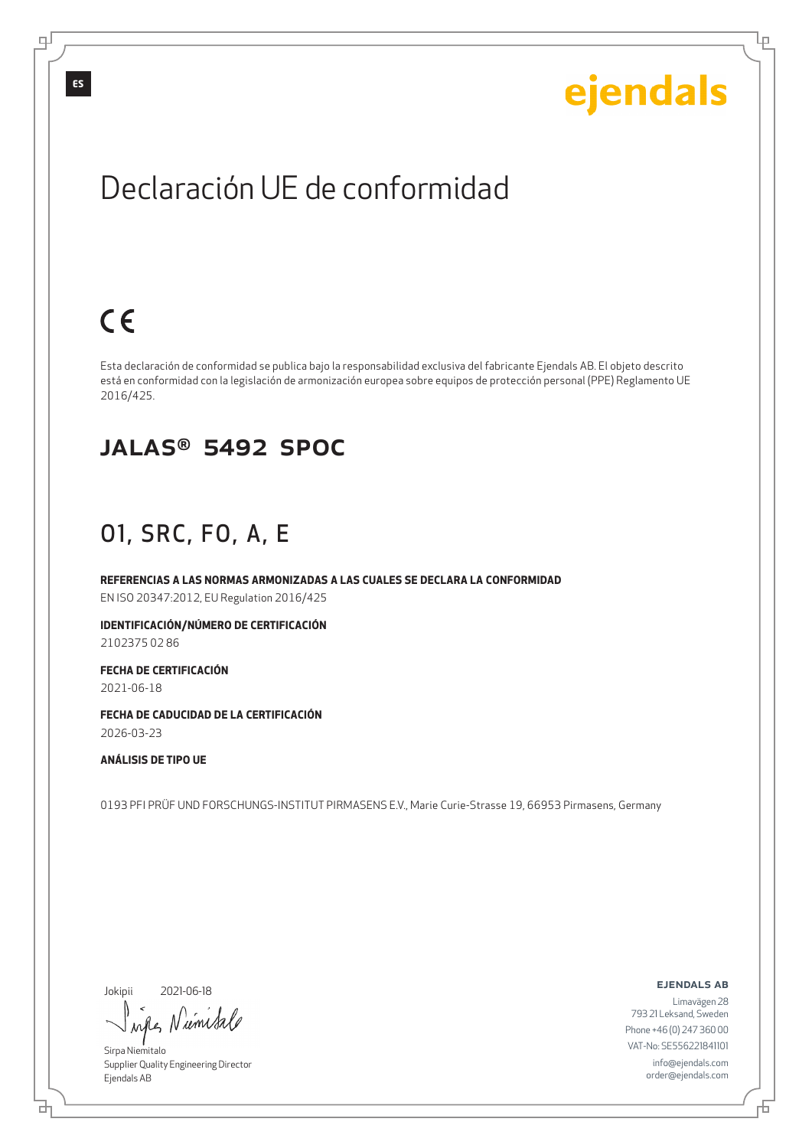Ļμ

## Declaración UE de conformidad

## $C \in$

Esta declaración de conformidad se publica bajo la responsabilidad exclusiva del fabricante Ejendals AB. El objeto descrito está en conformidad con la legislación de armonización europea sobre equipos de protección personal (PPE) Reglamento UE 2016/425.

#### JALAS® 5492 SPOC

### O1, SRC, FO, A, E

**REFERENCIAS A LAS NORMAS ARMONIZADAS A LAS CUALES SE DECLARA LA CONFORMIDAD** EN ISO 20347:2012, EU Regulation 2016/425

**IDENTIFICACIÓN/NÚMERO DE CERTIFICACIÓN** 2102375 02 86

**FECHA DE CERTIFICACIÓN** 2021-06-18

**FECHA DE CADUCIDAD DE LA CERTIFICACIÓN** 2026-03-23

**ANÁLISIS DE TIPO UE**

0193 PFI PRÜF UND FORSCHUNGS-INSTITUT PIRMASENS E.V., Marie Curie-Strasse 19, 66953 Pirmasens, Germany

Jokipii

브

2021-06-18

wife Numita

Sirpa Niemitalo Supplier Quality Engineering Director Ejendals AB

ejendals ab

Đ

Limavägen 28 793 21 Leksand, Sweden Phone +46 (0) 247 360 00 VAT-No: SE556221841101 info@ejendals.com order@ejendals.com

டி

**ES**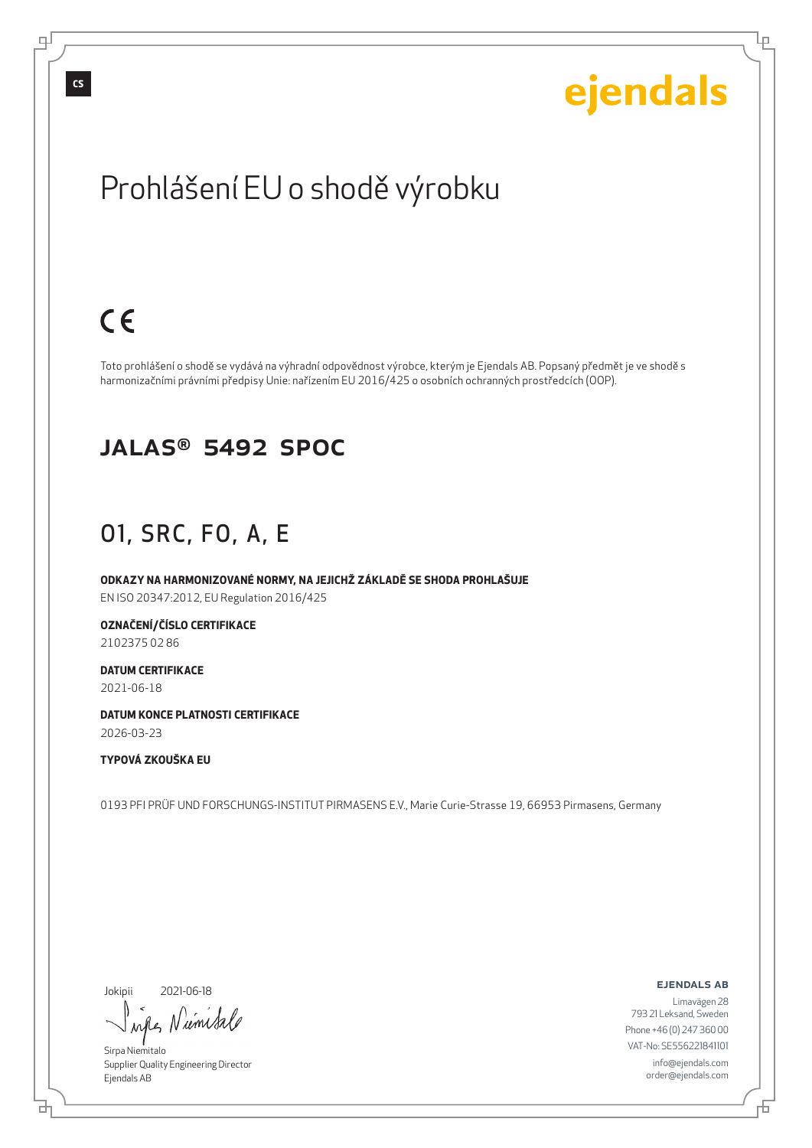# ejendals

Ļμ

## Prohlášení EU o shodě výrobku

## $C<sub>6</sub>$

Toto prohlášení o shodě se vydává na výhradní odpovědnost výrobce, kterým je Ejendals AB. Popsaný předmět je ve shodě s harmonizačními právními předpisy Unie: nařízením EU 2016/425 o osobních ochranných prostředcích (OOP).

#### JALAS® 5492 SPOC

### O1, SRC, FO, A, E

**ODKAZY NA HARMONIZOVANÉ NORMY, NA JEJICHŽ ZÁKLADĚ SE SHODA PROHLAŠUJE** EN ISO 20347:2012, EU Regulation 2016/425

**OZNAČENÍ/ČÍSLO CERTIFIKACE**

2102375 02 86

**DATUM CERTIFIKACE** 2021-06-18

**DATUM KONCE PLATNOSTI CERTIFIKACE** 2026-03-23

#### **TYPOVÁ ZKOUŠKA EU**

0193 PFI PRÜF UND FORSCHUNGS-INSTITUT PIRMASENS E.V., Marie Curie-Strasse 19, 66953 Pirmasens, Germany

Jokipii

브

2021-06-18

wifes Niemisa

Sirpa Niemitalo Supplier Quality Engineering Director Ejendals AB

ejendals ab

Limavägen 28 793 21 Leksand, Sweden Phone +46 (0) 247 360 00 VAT-No: SE556221841101 info@ejendals.com order@ejendals.com

Đ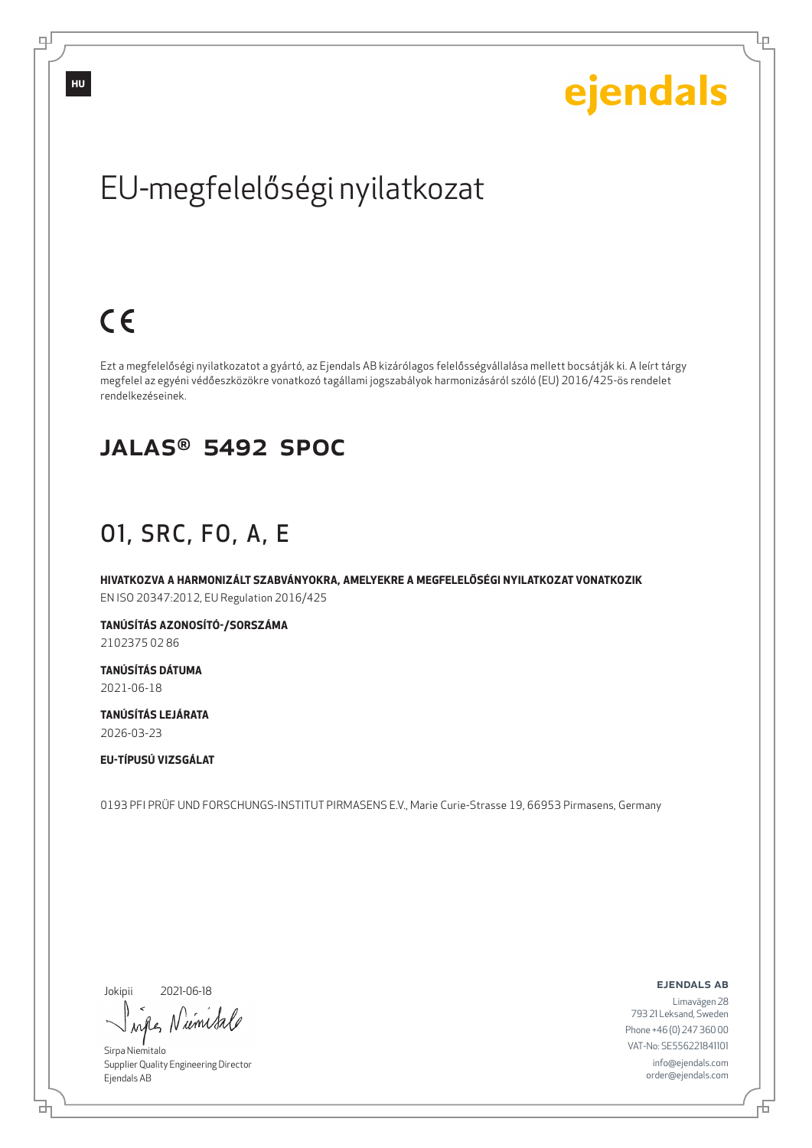Ļμ

## EU-megfelelőségi nyilatkozat

## $C<sub>6</sub>$

Ezt a megfelelőségi nyilatkozatot a gyártó, az Ejendals AB kizárólagos felelősségvállalása mellett bocsátják ki. A leírt tárgy megfelel az egyéni védőeszközökre vonatkozó tagállami jogszabályok harmonizásáról szóló (EU) 2016/425-ös rendelet rendelkezéseinek.

#### JALAS® 5492 SPOC

### O1, SRC, FO, A, E

**HIVATKOZVA A HARMONIZÁLT SZABVÁNYOKRA, AMELYEKRE A MEGFELELŐSÉGI NYILATKOZAT VONATKOZIK** EN ISO 20347:2012, EU Regulation 2016/425

**TANÚSÍTÁS AZONOSÍTÓ-/SORSZÁMA** 2102375 02 86

**TANÚSÍTÁS DÁTUMA** 2021-06-18

**TANÚSÍTÁS LEJÁRATA** 2026-03-23

**EU-TÍPUSÚ VIZSGÁLAT**

0193 PFI PRÜF UND FORSCHUNGS-INSTITUT PIRMASENS E.V., Marie Curie-Strasse 19, 66953 Pirmasens, Germany

Jokipii

브

2021-06-18

wife Numital

Sirpa Niemitalo Supplier Quality Engineering Director Ejendals AB

ejendals ab

Б

Limavägen 28 793 21 Leksand, Sweden Phone +46 (0) 247 360 00 VAT-No: SE556221841101 info@ejendals.com order@ejendals.com

டி

**HU**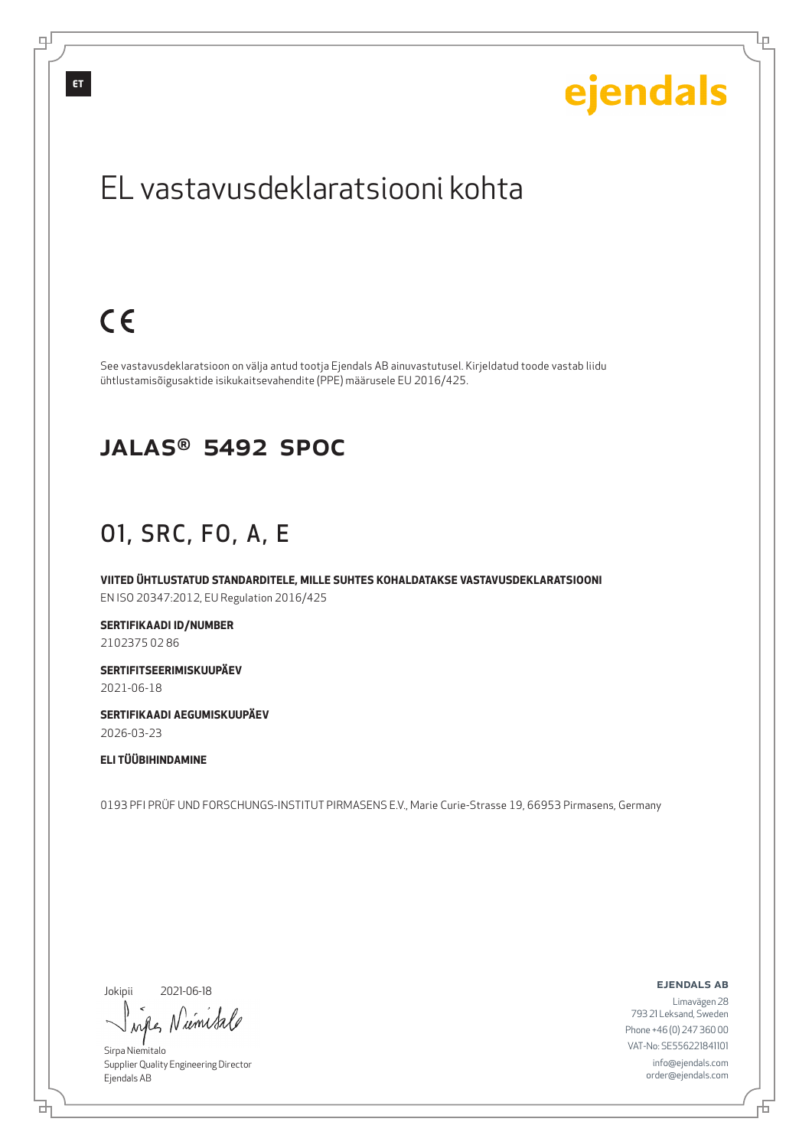**ET**

# ejendals

Ļμ

## EL vastavusdeklaratsiooni kohta

## $C \in$

See vastavusdeklaratsioon on välja antud tootja Ejendals AB ainuvastutusel. Kirjeldatud toode vastab liidu ühtlustamisõigusaktide isikukaitsevahendite (PPE) määrusele EU 2016/425.

#### JALAS® 5492 SPOC

### O1, SRC, FO, A, E

**VIITED ÜHTLUSTATUD STANDARDITELE, MILLE SUHTES KOHALDATAKSE VASTAVUSDEKLARATSIOONI** EN ISO 20347:2012, EU Regulation 2016/425

**SERTIFIKAADI ID/NUMBER** 2102375 02 86

**SERTIFITSEERIMISKUUPÄEV** 2021-06-18

**SERTIFIKAADI AEGUMISKUUPÄEV** 2026-03-23

**ELI TÜÜBIHINDAMINE**

0193 PFI PRÜF UND FORSCHUNGS-INSTITUT PIRMASENS E.V., Marie Curie-Strasse 19, 66953 Pirmasens, Germany

Jokipii

브

2021-06-18

wife, Niemital

Sirpa Niemitalo Supplier Quality Engineering Director Ejendals AB

ejendals ab

Đ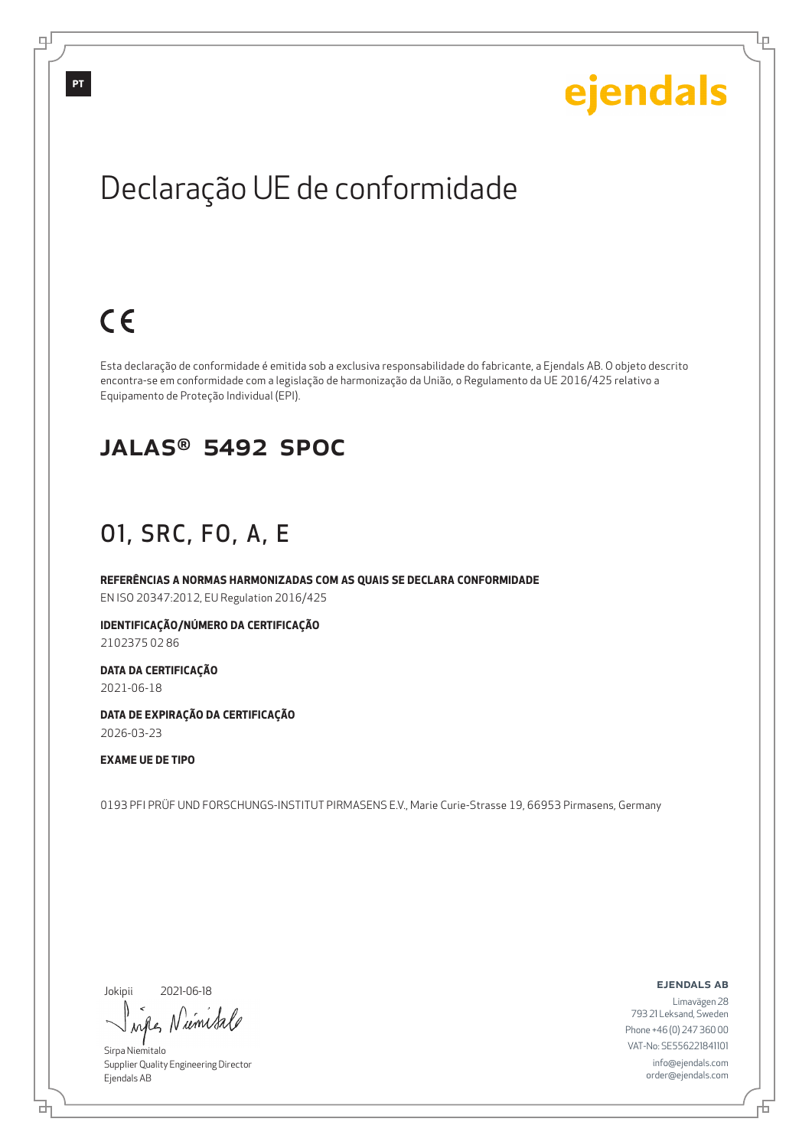Lр

## Declaração UE de conformidade

## $C \in$

Esta declaração de conformidade é emitida sob a exclusiva responsabilidade do fabricante, a Ejendals AB. O objeto descrito encontra-se em conformidade com a legislação de harmonização da União, o Regulamento da UE 2016/425 relativo a Equipamento de Proteção Individual (EPI).

#### JALAS® 5492 SPOC

### O1, SRC, FO, A, E

**REFERÊNCIAS A NORMAS HARMONIZADAS COM AS QUAIS SE DECLARA CONFORMIDADE** EN ISO 20347:2012, EU Regulation 2016/425

**IDENTIFICAÇÃO/NÚMERO DA CERTIFICAÇÃO**

2102375 02 86

**DATA DA CERTIFICAÇÃO** 2021-06-18

**DATA DE EXPIRAÇÃO DA CERTIFICAÇÃO** 2026-03-23

**EXAME UE DE TIPO**

0193 PFI PRÜF UND FORSCHUNGS-INSTITUT PIRMASENS E.V., Marie Curie-Strasse 19, 66953 Pirmasens, Germany

Jokipii

브

2021-06-18

wife Niemisa

Sirpa Niemitalo Supplier Quality Engineering Director Ejendals AB

ejendals ab

Б

Limavägen 28 793 21 Leksand, Sweden Phone +46 (0) 247 360 00 VAT-No: SE556221841101 info@ejendals.com order@ejendals.com

டி

**PT**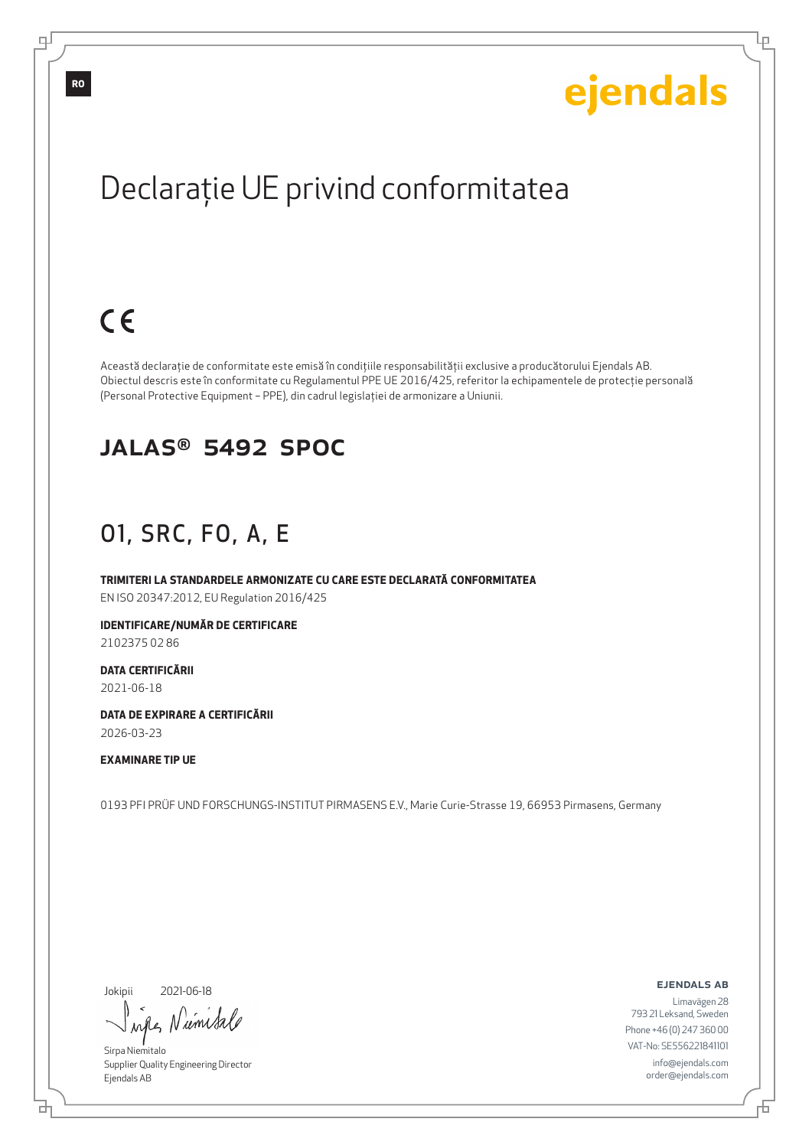Lр

## Declaraţie UE privind conformitatea

## $C<sub>6</sub>$

Această declaraţie de conformitate este emisă în condiţiile responsabilităţii exclusive a producătorului Ejendals AB. Obiectul descris este în conformitate cu Regulamentul PPE UE 2016/425, referitor la echipamentele de protecţie personală (Personal Protective Equipment – PPE), din cadrul legislaţiei de armonizare a Uniunii.

#### JALAS® 5492 SPOC

### O1, SRC, FO, A, E

**TRIMITERI LA STANDARDELE ARMONIZATE CU CARE ESTE DECLARATĂ CONFORMITATEA** EN ISO 20347:2012, EU Regulation 2016/425

**IDENTIFICARE/NUMĂR DE CERTIFICARE**

2102375 02 86

**DATA CERTIFICĂRII** 2021-06-18

**DATA DE EXPIRARE A CERTIFICĂRII** 2026-03-23

#### **EXAMINARE TIP UE**

0193 PFI PRÜF UND FORSCHUNGS-INSTITUT PIRMASENS E.V., Marie Curie-Strasse 19, 66953 Pirmasens, Germany

Jokipii

₫

2021-06-18

wife Numita

Sirpa Niemitalo Supplier Quality Engineering Director Ejendals AB

ejendals ab

Limavägen 28 793 21 Leksand, Sweden Phone +46 (0) 247 360 00 VAT-No: SE556221841101 info@ejendals.com order@ejendals.com

டி

**RO**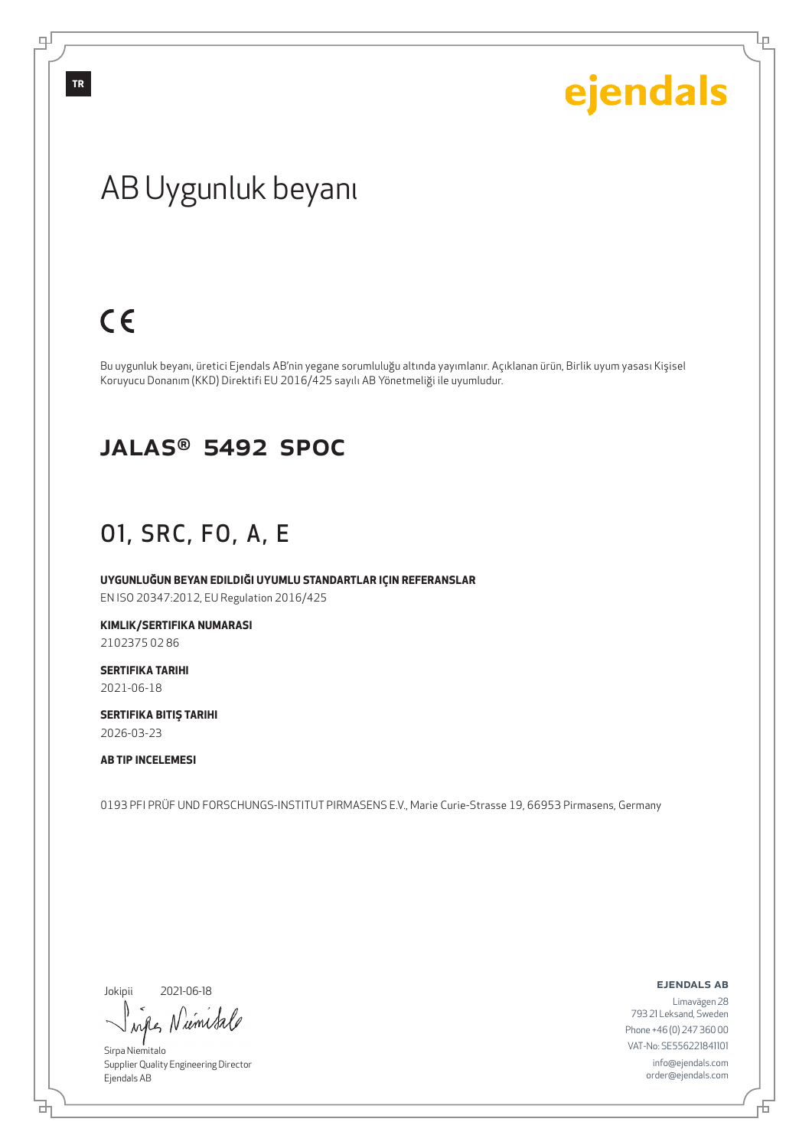Ļμ

## AB Uygunluk beyanı

## $C<sub>6</sub>$

Bu uygunluk beyanı, üretici Ejendals AB'nin yegane sorumluluğu altında yayımlanır. Açıklanan ürün, Birlik uyum yasası Kişisel Koruyucu Donanım (KKD) Direktifi EU 2016/425 sayılı AB Yönetmeliği ile uyumludur.

#### JALAS® 5492 SPOC

### O1, SRC, FO, A, E

**UYGUNLUĞUN BEYAN EDILDIĞI UYUMLU STANDARTLAR IÇIN REFERANSLAR** EN ISO 20347:2012, EU Regulation 2016/425

**KIMLIK/SERTIFIKA NUMARASI**

2102375 02 86

**SERTIFIKA TARIHI** 2021-06-18

**SERTIFIKA BITIŞ TARIHI** 2026-03-23

**AB TIP INCELEMESI**

0193 PFI PRÜF UND FORSCHUNGS-INSTITUT PIRMASENS E.V., Marie Curie-Strasse 19, 66953 Pirmasens, Germany

Jokipii

브

2021-06-18

rifles Niemisale

Sirpa Niemitalo Supplier Quality Engineering Director Ejendals AB

ejendals ab

Limavägen 28 793 21 Leksand, Sweden Phone +46 (0) 247 360 00 VAT-No: SE556221841101 info@ejendals.com order@ejendals.com

டி

**TR**

舌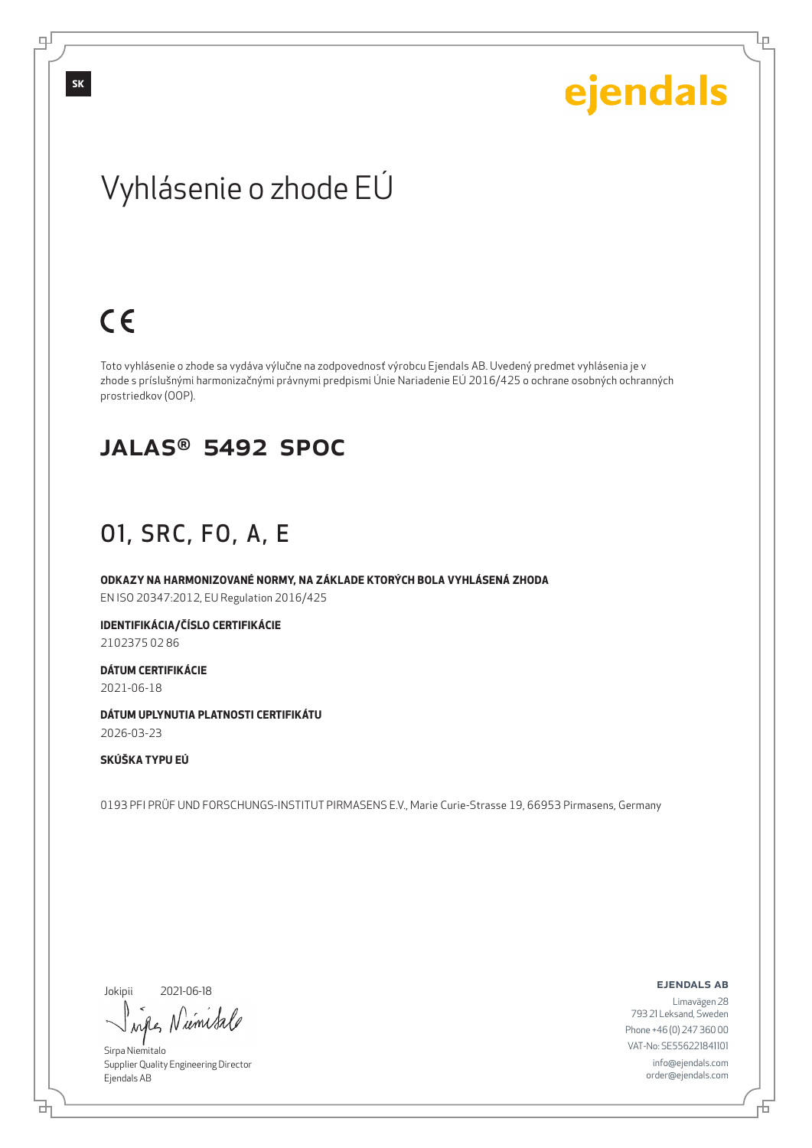Ļμ

## Vyhlásenie o zhode EÚ

## $C \in$

Toto vyhlásenie o zhode sa vydáva výlučne na zodpovednosť výrobcu Ejendals AB. Uvedený predmet vyhlásenia je v zhode s príslušnými harmonizačnými právnymi predpismi Únie Nariadenie EÚ 2016/425 o ochrane osobných ochranných prostriedkov (OOP).

#### JALAS® 5492 SPOC

### O1, SRC, FO, A, E

**ODKAZY NA HARMONIZOVANÉ NORMY, NA ZÁKLADE KTORÝCH BOLA VYHLÁSENÁ ZHODA** EN ISO 20347:2012, EU Regulation 2016/425

**IDENTIFIKÁCIA/ČÍSLO CERTIFIKÁCIE**

2102375 02 86

**DÁTUM CERTIFIKÁCIE** 2021-06-18

**DÁTUM UPLYNUTIA PLATNOSTI CERTIFIKÁTU** 2026-03-23

#### **SKÚŠKA TYPU EÚ**

0193 PFI PRÜF UND FORSCHUNGS-INSTITUT PIRMASENS E.V., Marie Curie-Strasse 19, 66953 Pirmasens, Germany

Jokipii

브

2021-06-18

wife, Niemital

Sirpa Niemitalo Supplier Quality Engineering Director Ejendals AB

ejendals ab

Đ

Limavägen 28 793 21 Leksand, Sweden Phone +46 (0) 247 360 00 VAT-No: SE556221841101 info@ejendals.com order@ejendals.com

டி

**SK**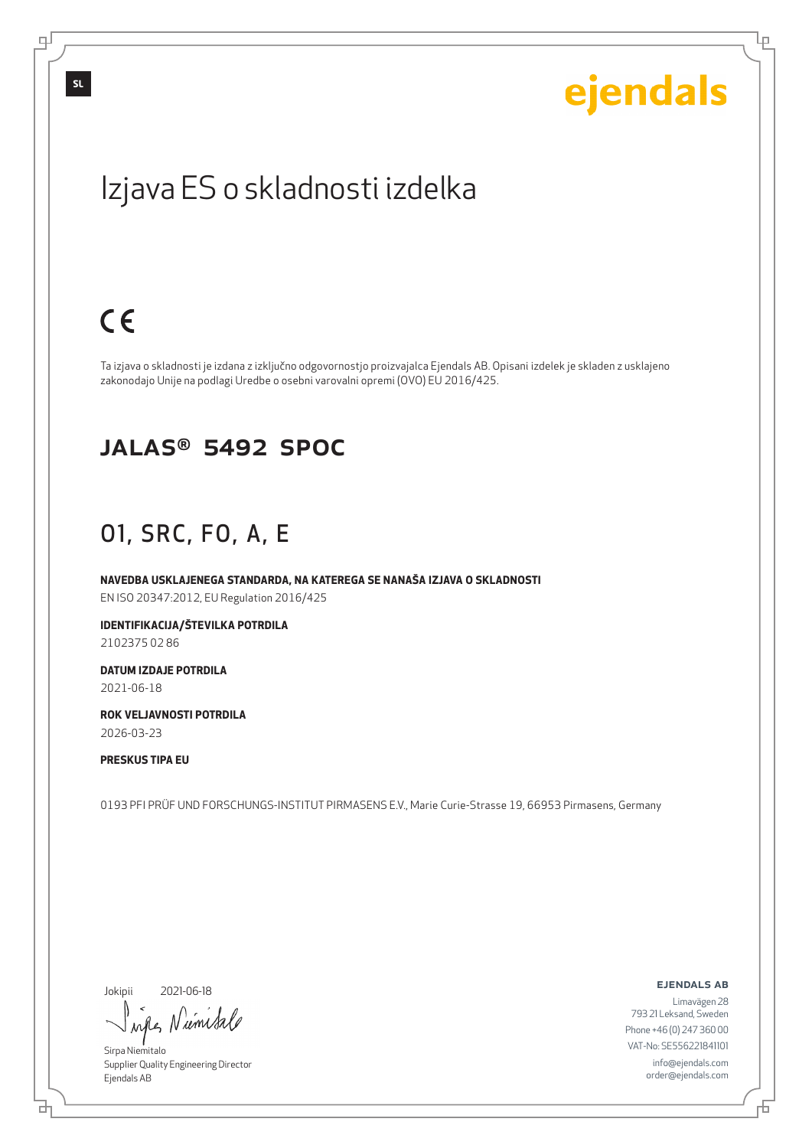Ļμ

## Izjava ES o skladnosti izdelka

## $C<sub>6</sub>$

Ta izjava o skladnosti je izdana z izključno odgovornostjo proizvajalca Ejendals AB. Opisani izdelek je skladen z usklajeno zakonodajo Unije na podlagi Uredbe o osebni varovalni opremi (OVO) EU 2016/425.

#### JALAS® 5492 SPOC

### O1, SRC, FO, A, E

**NAVEDBA USKLAJENEGA STANDARDA, NA KATEREGA SE NANAŠA IZJAVA O SKLADNOSTI** EN ISO 20347:2012, EU Regulation 2016/425

**IDENTIFIKACIJA/ŠTEVILKA POTRDILA** 2102375 02 86

**DATUM IZDAJE POTRDILA** 2021-06-18

**ROK VELJAVNOSTI POTRDILA** 2026-03-23

**PRESKUS TIPA EU**

0193 PFI PRÜF UND FORSCHUNGS-INSTITUT PIRMASENS E.V., Marie Curie-Strasse 19, 66953 Pirmasens, Germany

Jokipii

브

2021-06-18

wife Numital

Sirpa Niemitalo Supplier Quality Engineering Director Ejendals AB

ejendals ab

Limavägen 28 793 21 Leksand, Sweden Phone +46 (0) 247 360 00 VAT-No: SE556221841101 info@ejendals.com order@ejendals.com

டி

**SL**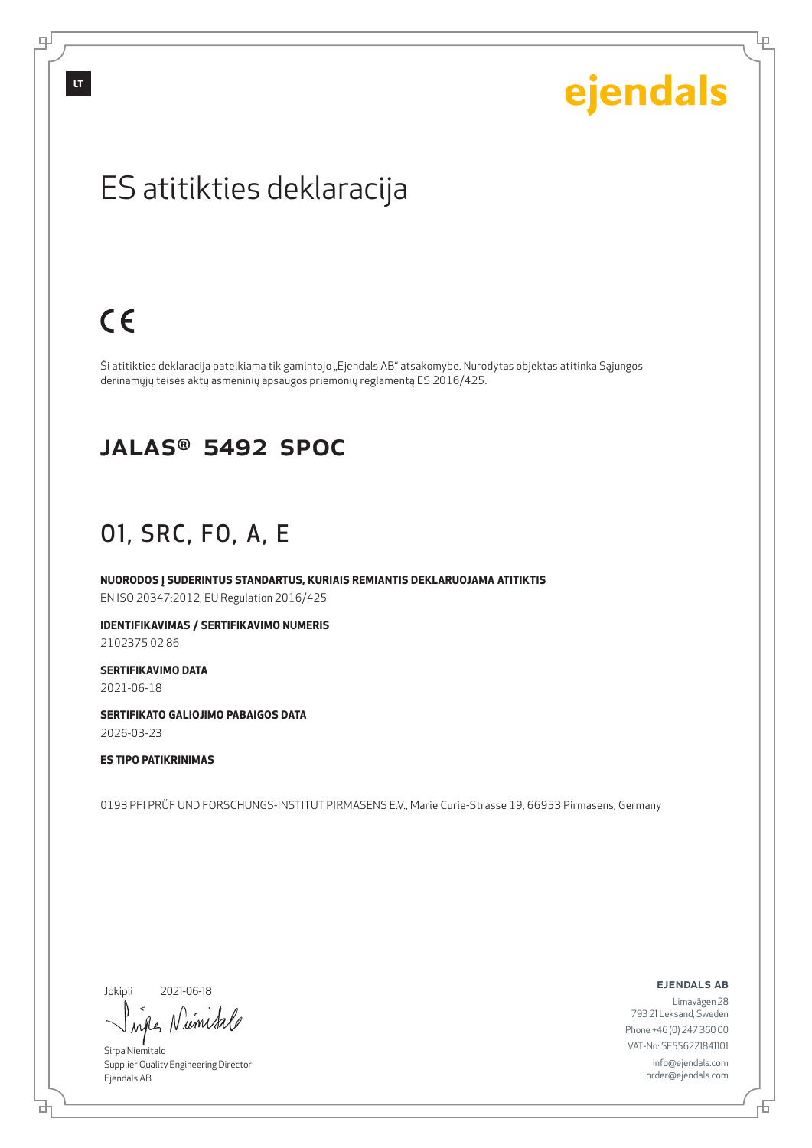# ejendals

Ļμ

## ES atitikties deklaracija

## $C<sub>6</sub>$

Ši atitikties deklaracija pateikiama tik gamintojo "Ejendals AB" atsakomybe. Nurodytas objektas atitinka Sąjungos derinamųjų teisės aktų asmeninių apsaugos priemonių reglamentą ES 2016/425.

#### JALAS® 5492 SPOC

### O1, SRC, FO, A, E

**NUORODOS Į SUDERINTUS STANDARTUS, KURIAIS REMIANTIS DEKLARUOJAMA ATITIKTIS** EN ISO 20347:2012, EU Regulation 2016/425

**IDENTIFIKAVIMAS / SERTIFIKAVIMO NUMERIS**

2102375 02 86

**SERTIFIKAVIMO DATA**

2021-06-18

**SERTIFIKATO GALIOJIMO PABAIGOS DATA** 2026-03-23

#### **ES TIPO PATIKRINIMAS**

0193 PFI PRÜF UND FORSCHUNGS-INSTITUT PIRMASENS E.V., Marie Curie-Strasse 19, 66953 Pirmasens, Germany

#### Jokipii

브

2021-06-18

wife Nimital

Sirpa Niemitalo Supplier Quality Engineering Director Ejendals AB

#### ejendals ab

Đ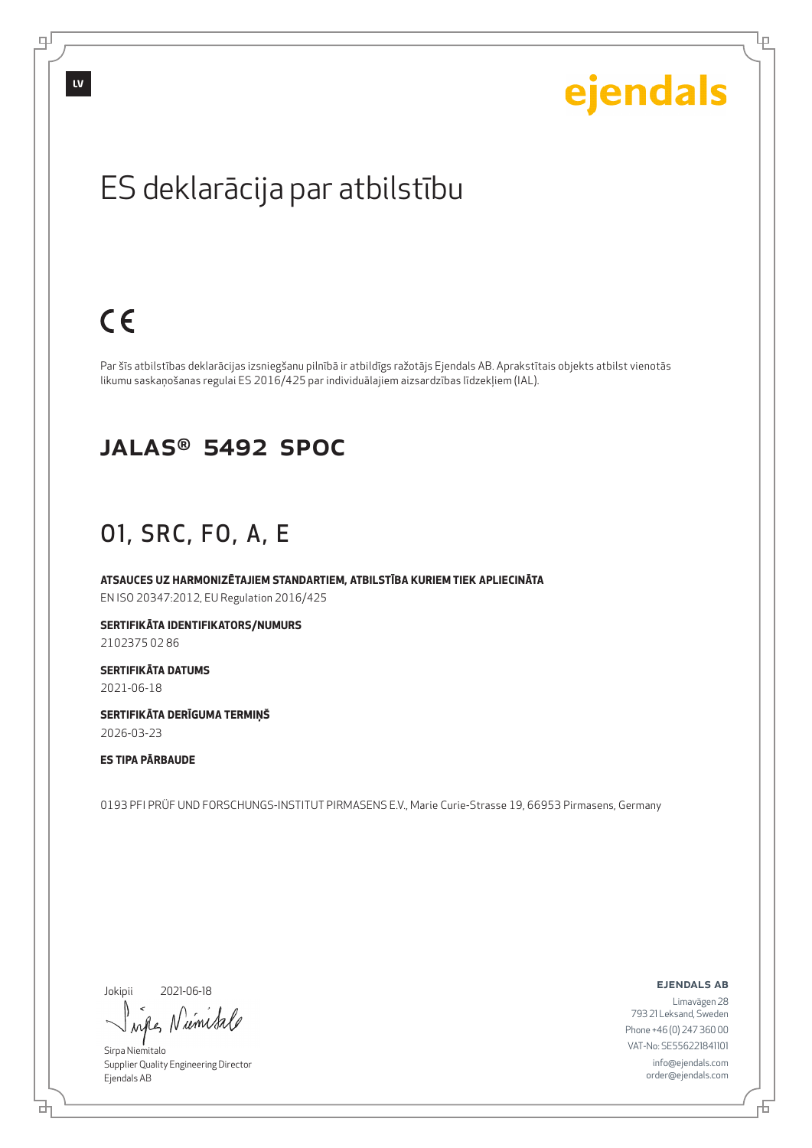# ejendals

Lρ

## ES deklarācija par atbilstību

## $C<sub>6</sub>$

Par šīs atbilstības deklarācijas izsniegšanu pilnībā ir atbildīgs ražotājs Ejendals AB. Aprakstītais objekts atbilst vienotās likumu saskaņošanas regulai ES 2016/425 par individuālajiem aizsardzības līdzekļiem (IAL).

#### JALAS® 5492 SPOC

### O1, SRC, FO, A, E

**ATSAUCES UZ HARMONIZĒTAJIEM STANDARTIEM, ATBILSTĪBA KURIEM TIEK APLIECINĀTA** EN ISO 20347:2012, EU Regulation 2016/425

**SERTIFIKĀTA IDENTIFIKATORS/NUMURS**

2102375 02 86

**SERTIFIKĀTA DATUMS** 2021-06-18

**SERTIFIKĀTA DERĪGUMA TERMIŅŠ** 2026-03-23

#### **ES TIPA PĀRBAUDE**

0193 PFI PRÜF UND FORSCHUNGS-INSTITUT PIRMASENS E.V., Marie Curie-Strasse 19, 66953 Pirmasens, Germany

Jokipii

브

2021-06-18

wife Nimital

Sirpa Niemitalo Supplier Quality Engineering Director Ejendals AB

ejendals ab

Б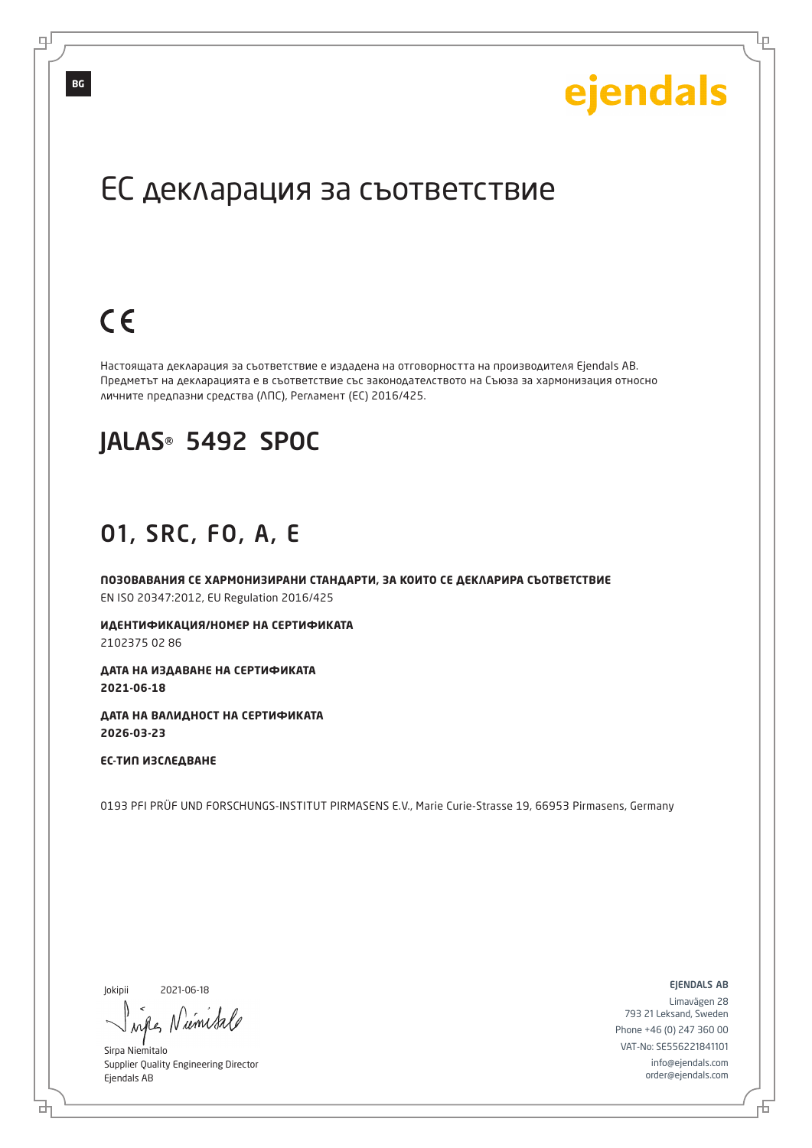Lр

## ЕС декларация за съответствие

## $C \in$

Настоящата декларация за съответствие е издадена на отговорността на производителя Ejendals AB. Предметът на декларацията е в съответствие със законодателството на Съюза за хармонизация относно личните предпазни средства (ЛПС), Регламент (ЕС) 2016/425.

### JALAS® 5492 SPOC

#### O1, SRC, FO, A, E

**ПОЗОВАВАНИЯ СЕ ХАРМОНИЗИРАНИ СТАНДАРТИ, ЗА КОИТО СЕ ДЕКЛАРИРА СЪОТВЕТСТВИЕ** EN ISO 20347:2012, EU Regulation 2016/425

**ИДЕНТИФИКАЦИЯ/НОМЕР НА СЕРТИФИКАТА** 2102375 02 86

**ДАТА НА ИЗДАВАНЕ НА СЕРТИФИКАТА 2021-06-18**

**ДАТА НА ВАЛИДНОСТ НА СЕРТИФИКАТА 2026-03-23**

**ЕС-ТИП ИЗСЛЕДВАНЕ**

0193 PFI PRÜF UND FORSCHUNGS-INSTITUT PIRMASENS E.V., Marie Curie-Strasse 19, 66953 Pirmasens, Germany

Jokipii

б

2021-06-18

when Numita

Sirpa Niemitalo Supplier Quality Engineering Director Ejendals AB

ejendals ab

Đ

Limavägen 28 793 21 Leksand, Sweden Phone +46 (0) 247 360 00 VAT-No: SE556221841101 info@ejendals.com order@ejendals.com

டி

**BG**